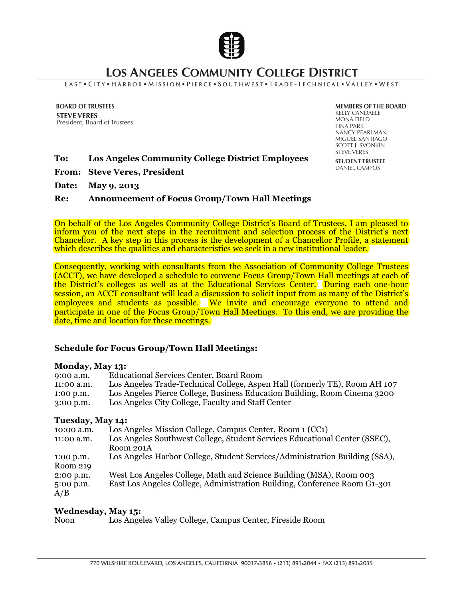

# **LOS ANGELES COMMUNITY COLLEGE DISTRICT**

#### EAST . CITY . HARBOR . MISSION . PIERCE . SOUTHWEST . TRADE - TECHNICAL . VALLEY . WEST

**BOARD OF TRUSTEES STEVE VERES** President, Board of Trustees **MEMBERS OF THE BOARD** KELLY CANDAELE MONA FIELD TINA PARK NANCY PEARLMAN MIGUEL SANTIAGO SCOTT J. SVONKIN STEVE VERES **STUDENT TRUSTEE**  DANIEL CAMPOS

#### **To: Los Angeles Community College District Employees**

**From: Steve Veres, President** 

**Date: May 9, 2013** 

#### **Re: Announcement of Focus Group/Town Hall Meetings**

On behalf of the Los Angeles Community College District's Board of Trustees, I am pleased to inform you of the next steps in the recruitment and selection process of the District's next Chancellor. A key step in this process is the development of a Chancellor Profile, a statement which describes the qualities and characteristics we seek in a new institutional leader.

Consequently, working with consultants from the Association of Community College Trustees (ACCT), we have developed a schedule to convene Focus Group/Town Hall meetings at each of the District's colleges as well as at the Educational Services Center. During each one-hour session, an ACCT consultant will lead a discussion to solicit input from as many of the District's employees and students as possible. We invite and encourage everyone to attend and participate in one of the Focus Group/Town Hall Meetings. To this end, we are providing the date, time and location for these meetings.

## **Schedule for Focus Group/Town Hall Meetings:**

## **Monday, May 13:**

| $9:00$ a.m. | <b>Educational Services Center, Board Room</b>                             |
|-------------|----------------------------------------------------------------------------|
| 11:00 a.m.  | Los Angeles Trade-Technical College, Aspen Hall (formerly TE), Room AH 107 |
| $1:00$ p.m. | Los Angeles Pierce College, Business Education Building, Room Cinema 3200  |
| $3:00$ p.m. | Los Angeles City College, Faculty and Staff Center                         |
|             |                                                                            |
|             |                                                                            |

### **Tuesday, May 14:**

| 10:00 a.m.         | Los Angeles Mission College, Campus Center, Room 1 (CC1)                    |
|--------------------|-----------------------------------------------------------------------------|
| 11:00 a.m.         | Los Angeles Southwest College, Student Services Educational Center (SSEC),  |
|                    | Room 201A                                                                   |
| $1:00$ p.m.        | Los Angeles Harbor College, Student Services/Administration Building (SSA), |
| Room 219           |                                                                             |
| 2:00 p.m.          | West Los Angeles College, Math and Science Building (MSA), Room 003         |
| $5:00$ p.m.<br>A/B | East Los Angeles College, Administration Building, Conference Room G1-301   |

#### **Wednesday, May 15:**

Noon Los Angeles Valley College, Campus Center, Fireside Room